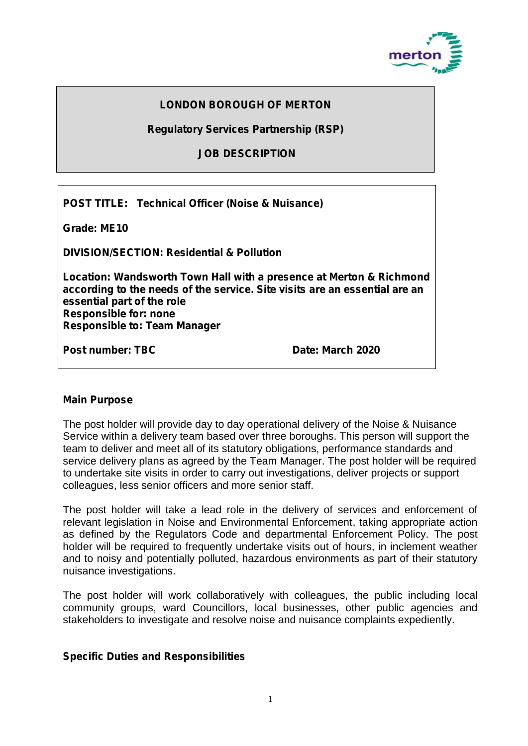

# **LONDON BOROUGH OF MERTON**

**Regulatory Services Partnership (RSP)**

### **JOB DESCRIPTION**

**POST TITLE: Technical Officer (Noise & Nuisance)**

**Grade: ME10**

**DIVISION/SECTION: Residential & Pollution**

**Location: Wandsworth Town Hall with a presence at Merton & Richmond according to the needs of the service. Site visits are an essential are an essential part of the role Responsible for: none Responsible to: Team Manager**

**Post number: TBC Date: March 2020**

#### **Main Purpose**

The post holder will provide day to day operational delivery of the Noise & Nuisance Service within a delivery team based over three boroughs. This person will support the team to deliver and meet all of its statutory obligations, performance standards and service delivery plans as agreed by the Team Manager. The post holder will be required to undertake site visits in order to carry out investigations, deliver projects or support colleagues, less senior officers and more senior staff.

The post holder will take a lead role in the delivery of services and enforcement of relevant legislation in Noise and Environmental Enforcement, taking appropriate action as defined by the Regulators Code and departmental Enforcement Policy. The post holder will be required to frequently undertake visits out of hours, in inclement weather and to noisy and potentially polluted, hazardous environments as part of their statutory nuisance investigations.

The post holder will work collaboratively with colleagues, the public including local community groups, ward Councillors, local businesses, other public agencies and stakeholders to investigate and resolve noise and nuisance complaints expediently.

#### **Specific Duties and Responsibilities**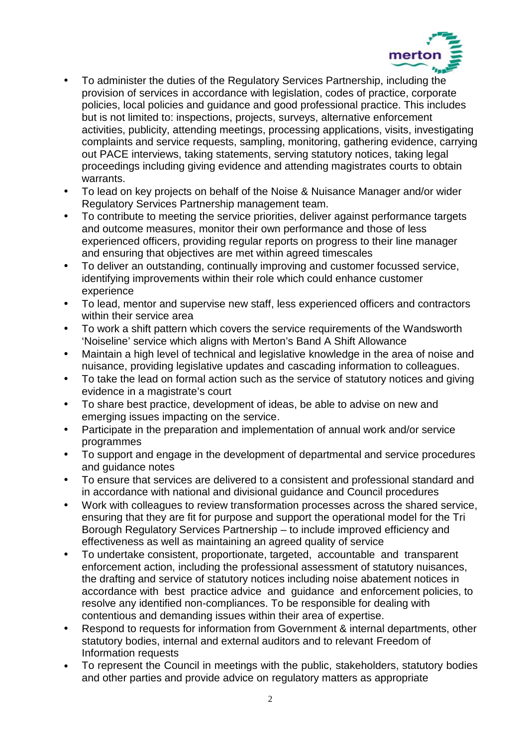

- To administer the duties of the Regulatory Services Partnership, including the provision of services in accordance with legislation, codes of practice, corporate policies, local policies and guidance and good professional practice. This includes but is not limited to: inspections, projects, surveys, alternative enforcement activities, publicity, attending meetings, processing applications, visits, investigating complaints and service requests, sampling, monitoring, gathering evidence, carrying out PACE interviews, taking statements, serving statutory notices, taking legal proceedings including giving evidence and attending magistrates courts to obtain warrants.
- To lead on key projects on behalf of the Noise & Nuisance Manager and/or wider Regulatory Services Partnership management team.
- To contribute to meeting the service priorities, deliver against performance targets and outcome measures, monitor their own performance and those of less experienced officers, providing regular reports on progress to their line manager and ensuring that objectives are met within agreed timescales
- To deliver an outstanding, continually improving and customer focussed service, identifying improvements within their role which could enhance customer experience
- To lead, mentor and supervise new staff, less experienced officers and contractors within their service area
- To work a shift pattern which covers the service requirements of the Wandsworth 'Noiseline' service which aligns with Merton's Band A Shift Allowance
- Maintain a high level of technical and legislative knowledge in the area of noise and nuisance, providing legislative updates and cascading information to colleagues.
- To take the lead on formal action such as the service of statutory notices and giving evidence in a magistrate's court
- To share best practice, development of ideas, be able to advise on new and emerging issues impacting on the service.
- Participate in the preparation and implementation of annual work and/or service programmes
- To support and engage in the development of departmental and service procedures and guidance notes
- To ensure that services are delivered to a consistent and professional standard and in accordance with national and divisional guidance and Council procedures
- Work with colleagues to review transformation processes across the shared service, ensuring that they are fit for purpose and support the operational model for the Tri Borough Regulatory Services Partnership – to include improved efficiency and effectiveness as well as maintaining an agreed quality of service
- To undertake consistent, proportionate, targeted, accountable and transparent enforcement action, including the professional assessment of statutory nuisances, the drafting and service of statutory notices including noise abatement notices in accordance with best practice advice and guidance and enforcement policies, to resolve any identified non-compliances. To be responsible for dealing with contentious and demanding issues within their area of expertise.
- Respond to requests for information from Government & internal departments, other statutory bodies, internal and external auditors and to relevant Freedom of Information requests
- To represent the Council in meetings with the public, stakeholders, statutory bodies and other parties and provide advice on regulatory matters as appropriate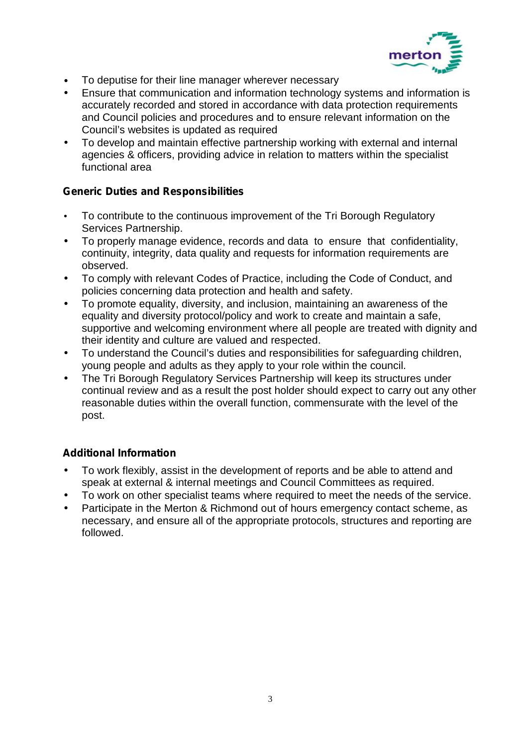

- To deputise for their line manager wherever necessary
- Ensure that communication and information technology systems and information is accurately recorded and stored in accordance with data protection requirements and Council policies and procedures and to ensure relevant information on the Council's websites is updated as required
- To develop and maintain effective partnership working with external and internal agencies & officers, providing advice in relation to matters within the specialist functional area

## **Generic Duties and Responsibilities**

- To contribute to the continuous improvement of the Tri Borough Regulatory Services Partnership.
- To properly manage evidence, records and data to ensure that confidentiality, continuity, integrity, data quality and requests for information requirements are observed.
- To comply with relevant Codes of Practice, including the Code of Conduct, and policies concerning data protection and health and safety.
- To promote equality, diversity, and inclusion, maintaining an awareness of the equality and diversity protocol/policy and work to create and maintain a safe, supportive and welcoming environment where all people are treated with dignity and their identity and culture are valued and respected.
- To understand the Council's duties and responsibilities for safeguarding children, young people and adults as they apply to your role within the council.
- The Tri Borough Regulatory Services Partnership will keep its structures under continual review and as a result the post holder should expect to carry out any other reasonable duties within the overall function, commensurate with the level of the post.

## **Additional Information**

- To work flexibly, assist in the development of reports and be able to attend and speak at external & internal meetings and Council Committees as required.
- To work on other specialist teams where required to meet the needs of the service.
- Participate in the Merton & Richmond out of hours emergency contact scheme, as necessary, and ensure all of the appropriate protocols, structures and reporting are followed.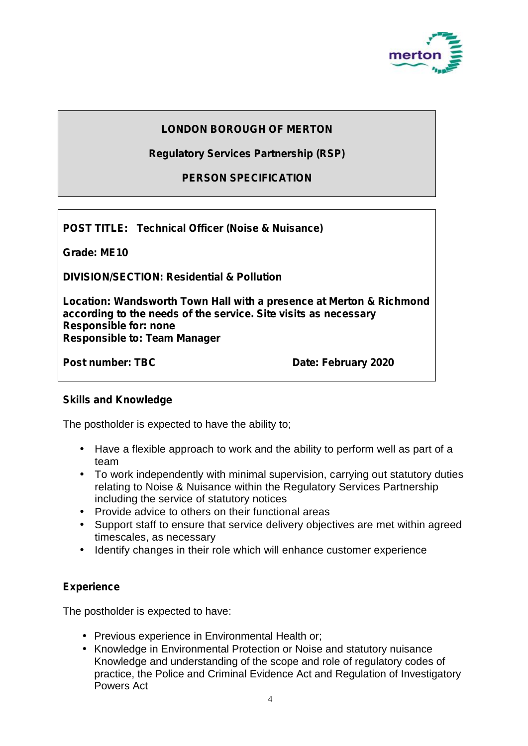

## **LONDON BOROUGH OF MERTON**

**Regulatory Services Partnership (RSP)**

**PERSON SPECIFICATION**

**POST TITLE: Technical Officer (Noise & Nuisance)**

**Grade: ME10**

**DIVISION/SECTION: Residential & Pollution**

**Location: Wandsworth Town Hall with a presence at Merton & Richmond according to the needs of the service. Site visits as necessary Responsible for: none Responsible to: Team Manager**

**Post number: TBC Date: February 2020** 

#### **Skills and Knowledge**

The postholder is expected to have the ability to;

- Have a flexible approach to work and the ability to perform well as part of a team
- To work independently with minimal supervision, carrying out statutory duties relating to Noise & Nuisance within the Regulatory Services Partnership including the service of statutory notices
- Provide advice to others on their functional areas
- Support staff to ensure that service delivery objectives are met within agreed timescales, as necessary
- I Identify changes in their role which will enhance customer experience

## **Experience**

The postholder is expected to have:

- Previous experience in Environmental Health or:
- Knowledge in Environmental Protection or Noise and statutory nuisance Knowledge and understanding of the scope and role of regulatory codes of practice, the Police and Criminal Evidence Act and Regulation of Investigatory Powers Act